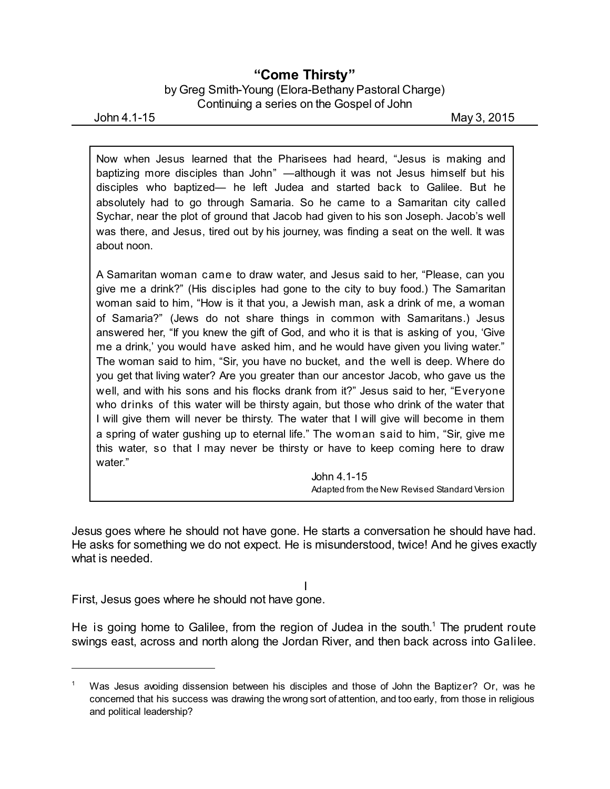## **"Come Thirsty"**

by Greg Smith-Young (Elora-Bethany Pastoral Charge) Continuing a series on the Gospel of John

John 4.1-15 May 3, 2015

Now when Jesus learned that the Pharisees had heard, "Jesus is making and baptizing more disciples than John" —although it was not Jesus himself but his disciples who baptized— he left Judea and started back to Galilee. But he absolutely had to go through Samaria. So he came to a Samaritan city called Sychar, near the plot of ground that Jacob had given to his son Joseph. Jacob's well was there, and Jesus, tired out by his journey, was finding a seat on the well. It was about noon.

A Samaritan woman came to draw water, and Jesus said to her, "Please, can you give me a drink?" (His disciples had gone to the city to buy food.) The Samaritan woman said to him, "How is it that you, a Jewish man, ask a drink of me, a woman of Samaria?" (Jews do not share things in common with Samaritans.) Jesus answered her, "If you knew the gift of God, and who it is that is asking of you, 'Give me a drink,' you would have asked him, and he would have given you living water." The woman said to him, "Sir, you have no bucket, and the well is deep. Where do you get that living water? Are you greater than our ancestor Jacob, who gave us the well, and with his sons and his flocks drank from it?" Jesus said to her, "Everyone who drinks of this water will be thirsty again, but those who drink of the water that I will give them will never be thirsty. The water that I will give will become in them a spring of water gushing up to eternal life." The woman said to him, "Sir, give me this water, so that I may never be thirsty or have to keep coming here to draw water."

> John 4.1-15 Adapted from the New Revised Standard Version

Jesus goes where he should not have gone. He starts a conversation he should have had. He asks for something we do not expect. He is misunderstood, twice! And he gives exactly what is needed.

I

First, Jesus goes where he should not have gone.

He is going home to Galilee, from the region of Judea in the south. <sup>1</sup> The prudent route swings east, across and north along the Jordan River, and then back across into Galilee.

<sup>1</sup> Was Jesus avoiding dissension between his disciples and those of John the Baptizer? Or, was he concerned that his success was drawing the wrong sort of attention, and too early, from those in religious and political leadership?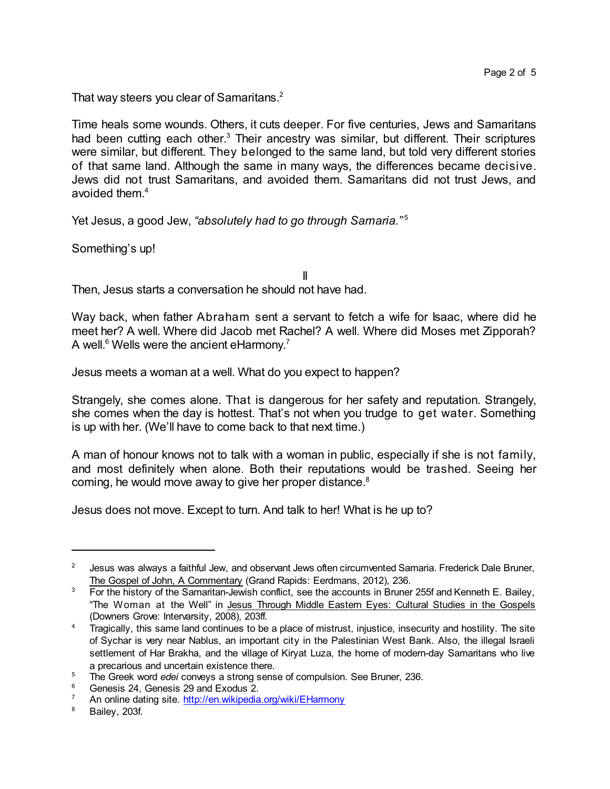That way steers you clear of Samaritans.<sup>2</sup>

Time heals some wounds. Others, it cuts deeper. For five centuries, Jews and Samaritans had been cutting each other.<sup>3</sup> Their ancestry was similar, but different. Their scriptures were similar, but different. They belonged to the same land, but told very different stories of that same land. Although the same in many ways, the differences became decisive. Jews did not trust Samaritans, and avoided them. Samaritans did not trust Jews, and avoided them. 4

Yet Jesus, a good Jew, *"absolutely had to go through Samaria."* 5

Something's up!

II

Then, Jesus starts a conversation he should not have had.

Way back, when father Abraham sent a servant to fetch a wife for Isaac, where did he meet her? A well. Where did Jacob met Rachel? A well. Where did Moses met Zipporah? A well.<sup>6</sup> Wells were the ancient eHarmony.<sup>7</sup>

Jesus meets a woman at a well. What do you expect to happen?

Strangely, she comes alone. That is dangerous for her safety and reputation. Strangely, she comes when the day is hottest. That's not when you trudge to get water. Something is up with her. (We'll have to come back to that next time.)

A man of honour knows not to talk with a woman in public, especially if she is not family, and most definitely when alone. Both their reputations would be trashed. Seeing her coming, he would move away to give her proper distance.<sup>8</sup>

Jesus does not move. Except to turn. And talk to her! What is he up to?

<sup>2</sup> Jesus was always a faithful Jew, and observant Jews often circumvented Samaria. Frederick Dale Bruner, The Gospel of John, A Commentary (Grand Rapids: Eerdmans, 2012), 236.

<sup>&</sup>lt;sup>3</sup> For the history of the Samaritan-Jewish conflict, see the accounts in Bruner 255f and Kenneth E. Bailey, "The Woman at the Well" in Jesus Through Middle Eastern Eyes: Cultural Studies in the Gospels (Downers Grove: Intervarsity, 2008), 203ff.

<sup>&</sup>lt;sup>4</sup> Tragically, this same land continues to be a place of mistrust, injustice, insecurity and hostility. The site of Sychar is very near Nablus, an important city in the Palestinian West Bank. Also, the illegal Israeli settlement of Har Brakha, and the village of Kiryat Luza, the home of modern-day Samaritans who live a precarious and uncertain existence there.

<sup>5</sup> The Greek word *edei* conveys a strong sense of compulsion. See Bruner, 236.

<sup>&</sup>lt;sup>6</sup> Genesis 24, Genesis 29 and Exodus 2.

An online dating site. <http://en.wikipedia.org/wiki/EHarmony>

<sup>8</sup> Bailey, 203f.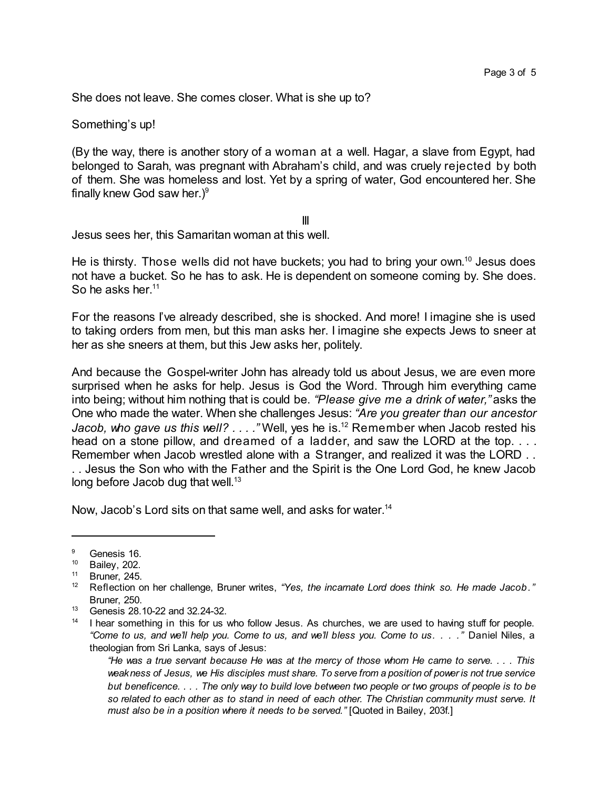She does not leave. She comes closer. What is she up to?

Something's up!

(By the way, there is another story of a woman at a well. Hagar, a slave from Egypt, had belonged to Sarah, was pregnant with Abraham's child, and was cruely rejected by both of them. She was homeless and lost. Yet by a spring of water, God encountered her. She finally knew God saw her.) 9

III

Jesus sees her, this Samaritan woman at this well.

He is thirsty. Those wells did not have buckets; you had to bring your own.<sup>10</sup> Jesus does not have a bucket. So he has to ask. He is dependent on someone coming by. She does. So he asks her.<sup>11</sup>

For the reasons I've already described, she is shocked. And more! I imagine she is used to taking orders from men, but this man asks her. I imagine she expects Jews to sneer at her as she sneers at them, but this Jew asks her, politely.

And because the Gospel-writer John has already told us about Jesus, we are even more surprised when he asks for help. Jesus is God the Word. Through him everything came into being; without him nothing that is could be. *"Please give me a drink of water,"* asks the One who made the water. When she challenges Jesus: *"Are you greater than our ancestor Jacob, who gave us this well? . . . ."* Well, yes he is.<sup>12</sup> Remember when Jacob rested his head on a stone pillow, and dreamed of a ladder, and saw the LORD at the top. . . . Remember when Jacob wrestled alone with a Stranger, and realized it was the LORD . . . . Jesus the Son who with the Father and the Spirit is the One Lord God, he knew Jacob long before Jacob dug that well.<sup>13</sup>

Now, Jacob's Lord sits on that same well, and asks for water. 14

 $\frac{9}{10}$  Genesis 16.

 $^{10}$  Bailey, 202.

Bruner, 245.

<sup>12</sup> Reflection on her challenge, Bruner writes, *"Yes, the incarnate Lord does think so. He made Jacob."* Bruner, 250.

<sup>13</sup> Genesis 28.10-22 and 32.24-32.

<sup>&</sup>lt;sup>14</sup> I hear something in this for us who follow Jesus. As churches, we are used to having stuff for people. "Come to us, and we'll help you. Come to us, and we'll bless you. Come to us. . . . " Daniel Niles, a theologian from Sri Lanka, says of Jesus:

<sup>&</sup>quot;He was a true servant because He was at the mercy of those whom He came to serve. . . . This weakness of Jesus, we His disciples must share. To serve from a position of power is not true service but beneficence.... The only way to build love between two people or two groups of people is to be so related to each other as to stand in need of each other. The Christian community must serve. It *must also be in a position where it needs to be served."* [Quoted in Bailey, 203f.]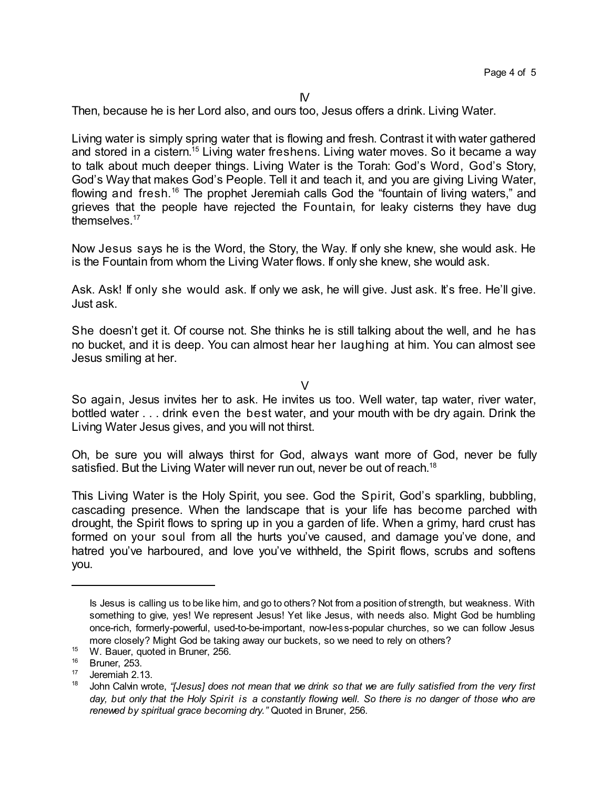Then, because he is her Lord also, and ours too, Jesus offers a drink. Living Water.

Living water is simply spring water that is flowing and fresh. Contrast it with water gathered and stored in a cistern.<sup>15</sup> Living water freshens. Living water moves. So it became a way to talk about much deeper things. Living Water is the Torah: God's Word, God's Story, God's Way that makes God's People. Tell it and teach it, and you are giving Living Water, flowing and fresh.<sup>16</sup> The prophet Jeremiah calls God the "fountain of living waters," and grieves that the people have rejected the Fountain, for leaky cisterns they have dug themselves.<sup>17</sup>

Now Jesus says he is the Word, the Story, the Way. If only she knew, she would ask. He is the Fountain from whom the Living Water flows. If only she knew, she would ask.

Ask. Ask! If only she would ask. If only we ask, he will give. Just ask. It's free. He'll give. Just ask.

She doesn't get it. Of course not. She thinks he is still talking about the well, and he has no bucket, and it is deep. You can almost hear her laughing at him. You can almost see Jesus smiling at her.

V

So again, Jesus invites her to ask. He invites us too. Well water, tap water, river water, bottled water . . . drink even the best water, and your mouth with be dry again. Drink the Living Water Jesus gives, and you will not thirst.

Oh, be sure you will always thirst for God, always want more of God, never be fully satisfied. But the Living Water will never run out, never be out of reach.<sup>18</sup>

This Living Water is the Holy Spirit, you see. God the Spirit, God's sparkling, bubbling, cascading presence. When the landscape that is your life has become parched with drought, the Spirit flows to spring up in you a garden of life. When a grimy, hard crust has formed on your soul from all the hurts you've caused, and damage you've done, and hatred you've harboured, and love you've withheld, the Spirit flows, scrubs and softens you.

Is Jesus is calling us to be like him, and go to others? Not from a position of strength, but weakness. With something to give, yes! We represent Jesus! Yet like Jesus, with needs also. Might God be humbling once-rich, formerly-powerful, used-to-be-important, now-less-popular churches, so we can follow Jesus more closely? Might God be taking away our buckets, so we need to rely on others?

<sup>&</sup>lt;sup>15</sup> W. Bauer, quoted in Bruner, 256.

 $16$  Bruner, 253.<br> $17$  leremiab 3.1

Jeremiah 2.13.

John Calvin wrote, "[Jesus] does not mean that we drink so that we are fully satisfied from the very first day, but only that the Holy Spirit is a constantly flowing well. So there is no danger of those who are *renewed by spiritual grace becoming dry."* Quoted in Bruner, 256.